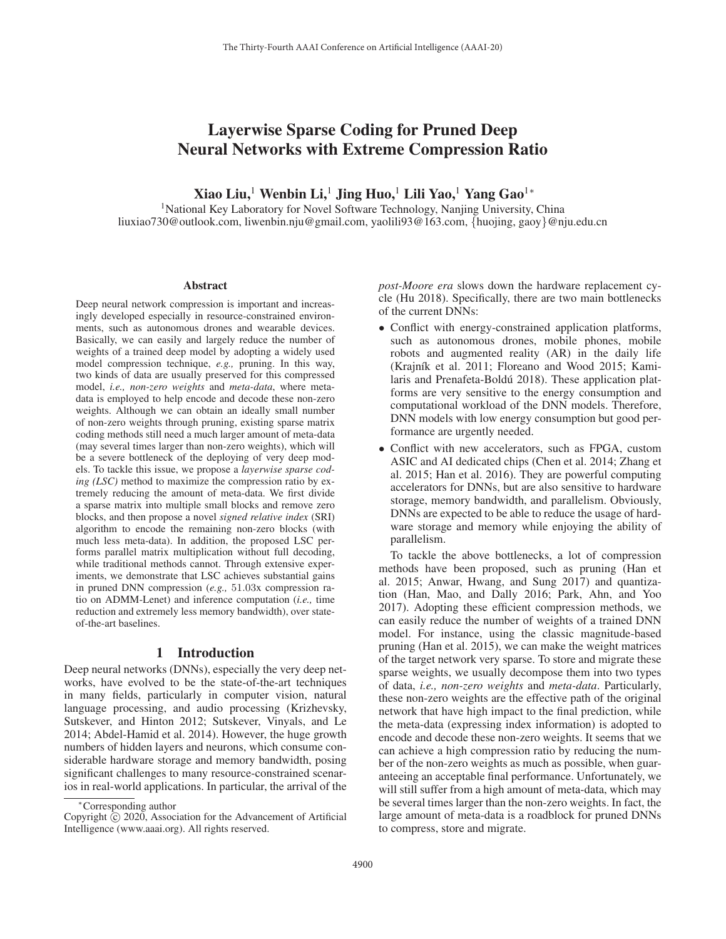# Layerwise Sparse Coding for Pruned Deep Neural Networks with Extreme Compression Ratio

Xiao Liu,<sup>1</sup> Wenbin Li,<sup>1</sup> Jing Huo,<sup>1</sup> Lili Yao,<sup>1</sup> Yang Gao<sup>1</sup><sup>∗</sup>

<sup>1</sup>National Key Laboratory for Novel Software Technology, Nanjing University, China liuxiao730@outlook.com, liwenbin.nju@gmail.com, yaolili93@163.com, {huojing, gaoy}@nju.edu.cn

#### Abstract

Deep neural network compression is important and increasingly developed especially in resource-constrained environments, such as autonomous drones and wearable devices. Basically, we can easily and largely reduce the number of weights of a trained deep model by adopting a widely used model compression technique, *e.g.,* pruning. In this way, two kinds of data are usually preserved for this compressed model, *i.e., non-zero weights* and *meta-data*, where metadata is employed to help encode and decode these non-zero weights. Although we can obtain an ideally small number of non-zero weights through pruning, existing sparse matrix coding methods still need a much larger amount of meta-data (may several times larger than non-zero weights), which will be a severe bottleneck of the deploying of very deep models. To tackle this issue, we propose a *layerwise sparse coding (LSC)* method to maximize the compression ratio by extremely reducing the amount of meta-data. We first divide a sparse matrix into multiple small blocks and remove zero blocks, and then propose a novel *signed relative index* (SRI) algorithm to encode the remaining non-zero blocks (with much less meta-data). In addition, the proposed LSC performs parallel matrix multiplication without full decoding, while traditional methods cannot. Through extensive experiments, we demonstrate that LSC achieves substantial gains in pruned DNN compression (*e.g.,* 51.03x compression ratio on ADMM-Lenet) and inference computation (*i.e.,* time reduction and extremely less memory bandwidth), over stateof-the-art baselines.

## 1 Introduction

Deep neural networks (DNNs), especially the very deep networks, have evolved to be the state-of-the-art techniques in many fields, particularly in computer vision, natural language processing, and audio processing (Krizhevsky, Sutskever, and Hinton 2012; Sutskever, Vinyals, and Le 2014; Abdel-Hamid et al. 2014). However, the huge growth numbers of hidden layers and neurons, which consume considerable hardware storage and memory bandwidth, posing significant challenges to many resource-constrained scenarios in real-world applications. In particular, the arrival of the *post-Moore era* slows down the hardware replacement cycle (Hu 2018). Specifically, there are two main bottlenecks of the current DNNs:

- Conflict with energy-constrained application platforms, such as autonomous drones, mobile phones, mobile robots and augmented reality (AR) in the daily life (Krajník et al. 2011; Floreano and Wood 2015; Kamilaris and Prenafeta-Boldú 2018). These application platforms are very sensitive to the energy consumption and computational workload of the DNN models. Therefore, DNN models with low energy consumption but good performance are urgently needed.
- Conflict with new accelerators, such as FPGA, custom ASIC and AI dedicated chips (Chen et al. 2014; Zhang et al. 2015; Han et al. 2016). They are powerful computing accelerators for DNNs, but are also sensitive to hardware storage, memory bandwidth, and parallelism. Obviously, DNNs are expected to be able to reduce the usage of hardware storage and memory while enjoying the ability of parallelism.

To tackle the above bottlenecks, a lot of compression methods have been proposed, such as pruning (Han et al. 2015; Anwar, Hwang, and Sung 2017) and quantization (Han, Mao, and Dally 2016; Park, Ahn, and Yoo 2017). Adopting these efficient compression methods, we can easily reduce the number of weights of a trained DNN model. For instance, using the classic magnitude-based pruning (Han et al. 2015), we can make the weight matrices of the target network very sparse. To store and migrate these sparse weights, we usually decompose them into two types of data, *i.e., non-zero weights* and *meta-data*. Particularly, these non-zero weights are the effective path of the original network that have high impact to the final prediction, while the meta-data (expressing index information) is adopted to encode and decode these non-zero weights. It seems that we can achieve a high compression ratio by reducing the number of the non-zero weights as much as possible, when guaranteeing an acceptable final performance. Unfortunately, we will still suffer from a high amount of meta-data, which may be several times larger than the non-zero weights. In fact, the large amount of meta-data is a roadblock for pruned DNNs to compress, store and migrate.

<sup>∗</sup>Corresponding author

Copyright  $\odot$  2020, Association for the Advancement of Artificial Intelligence (www.aaai.org). All rights reserved.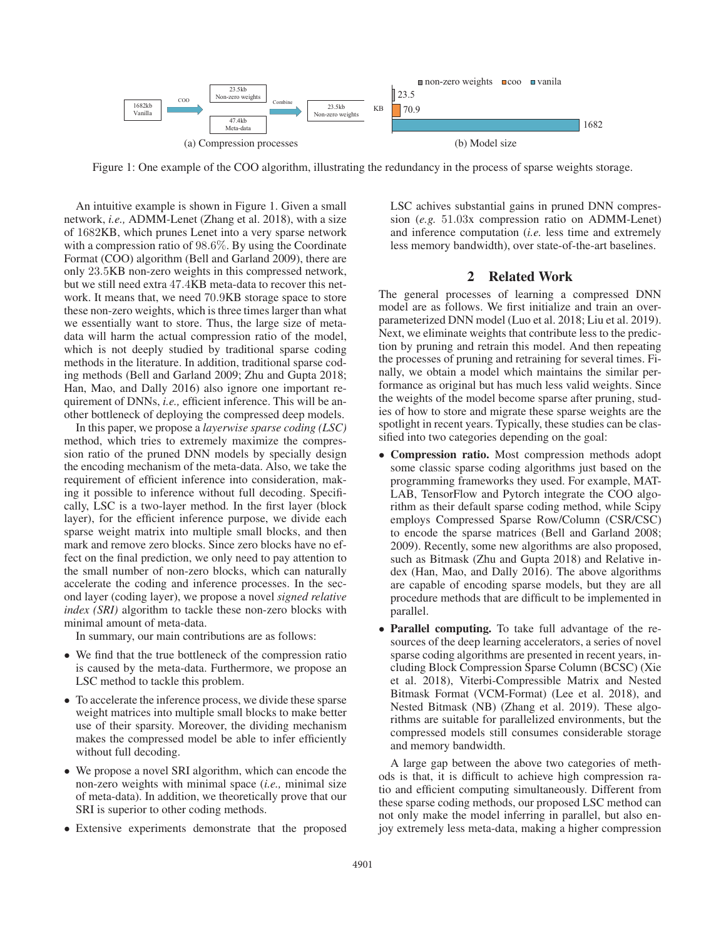

Figure 1: One example of the COO algorithm, illustrating the redundancy in the process of sparse weights storage.

An intuitive example is shown in Figure 1. Given a small network, *i.e.,* ADMM-Lenet (Zhang et al. 2018), with a size of 1682KB, which prunes Lenet into a very sparse network with a compression ratio of 98.6%. By using the Coordinate Format (COO) algorithm (Bell and Garland 2009), there are only 23.5KB non-zero weights in this compressed network, but we still need extra 47.4KB meta-data to recover this network. It means that, we need 70.9KB storage space to store these non-zero weights, which is three times larger than what we essentially want to store. Thus, the large size of metadata will harm the actual compression ratio of the model, which is not deeply studied by traditional sparse coding methods in the literature. In addition, traditional sparse coding methods (Bell and Garland 2009; Zhu and Gupta 2018; Han, Mao, and Dally 2016) also ignore one important requirement of DNNs, *i.e.,* efficient inference. This will be another bottleneck of deploying the compressed deep models.

In this paper, we propose a *layerwise sparse coding (LSC)* method, which tries to extremely maximize the compression ratio of the pruned DNN models by specially design the encoding mechanism of the meta-data. Also, we take the requirement of efficient inference into consideration, making it possible to inference without full decoding. Specifically, LSC is a two-layer method. In the first layer (block layer), for the efficient inference purpose, we divide each sparse weight matrix into multiple small blocks, and then mark and remove zero blocks. Since zero blocks have no effect on the final prediction, we only need to pay attention to the small number of non-zero blocks, which can naturally accelerate the coding and inference processes. In the second layer (coding layer), we propose a novel *signed relative index (SRI)* algorithm to tackle these non-zero blocks with minimal amount of meta-data.

In summary, our main contributions are as follows:

- We find that the true bottleneck of the compression ratio is caused by the meta-data. Furthermore, we propose an LSC method to tackle this problem.
- To accelerate the inference process, we divide these sparse weight matrices into multiple small blocks to make better use of their sparsity. Moreover, the dividing mechanism makes the compressed model be able to infer efficiently without full decoding.
- We propose a novel SRI algorithm, which can encode the non-zero weights with minimal space (*i.e.,* minimal size of meta-data). In addition, we theoretically prove that our SRI is superior to other coding methods.
- Extensive experiments demonstrate that the proposed

LSC achives substantial gains in pruned DNN compression (*e.g.* 51.03x compression ratio on ADMM-Lenet) and inference computation (*i.e.* less time and extremely less memory bandwidth), over state-of-the-art baselines.

## 2 Related Work

The general processes of learning a compressed DNN model are as follows. We first initialize and train an overparameterized DNN model (Luo et al. 2018; Liu et al. 2019). Next, we eliminate weights that contribute less to the prediction by pruning and retrain this model. And then repeating the processes of pruning and retraining for several times. Finally, we obtain a model which maintains the similar performance as original but has much less valid weights. Since the weights of the model become sparse after pruning, studies of how to store and migrate these sparse weights are the spotlight in recent years. Typically, these studies can be classified into two categories depending on the goal:

- Compression ratio. Most compression methods adopt some classic sparse coding algorithms just based on the programming frameworks they used. For example, MAT-LAB, TensorFlow and Pytorch integrate the COO algorithm as their default sparse coding method, while Scipy employs Compressed Sparse Row/Column (CSR/CSC) to encode the sparse matrices (Bell and Garland 2008; 2009). Recently, some new algorithms are also proposed, such as Bitmask (Zhu and Gupta 2018) and Relative index (Han, Mao, and Dally 2016). The above algorithms are capable of encoding sparse models, but they are all procedure methods that are difficult to be implemented in parallel.
- Parallel computing. To take full advantage of the resources of the deep learning accelerators, a series of novel sparse coding algorithms are presented in recent years, including Block Compression Sparse Column (BCSC) (Xie et al. 2018), Viterbi-Compressible Matrix and Nested Bitmask Format (VCM-Format) (Lee et al. 2018), and Nested Bitmask (NB) (Zhang et al. 2019). These algorithms are suitable for parallelized environments, but the compressed models still consumes considerable storage and memory bandwidth.

A large gap between the above two categories of methods is that, it is difficult to achieve high compression ratio and efficient computing simultaneously. Different from these sparse coding methods, our proposed LSC method can not only make the model inferring in parallel, but also enjoy extremely less meta-data, making a higher compression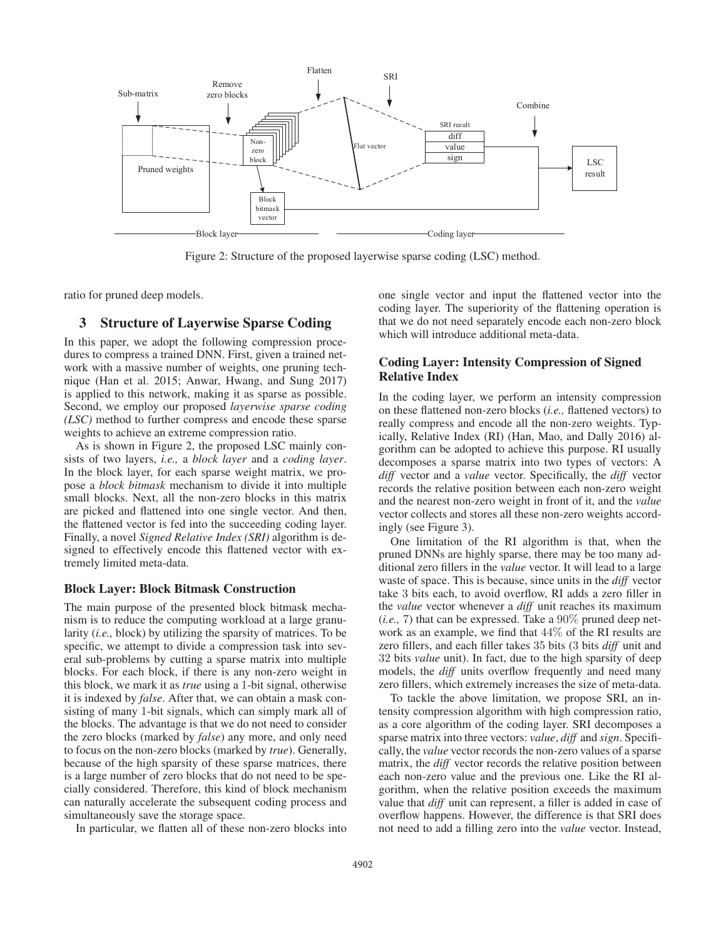

Figure 2: Structure of the proposed layerwise sparse coding (LSC) method.

ratio for pruned deep models.

### 3 Structure of Layerwise Sparse Coding

In this paper, we adopt the following compression procedures to compress a trained DNN. First, given a trained network with a massive number of weights, one pruning technique (Han et al. 2015; Anwar, Hwang, and Sung 2017) is applied to this network, making it as sparse as possible. Second, we employ our proposed *layerwise sparse coding (LSC)* method to further compress and encode these sparse weights to achieve an extreme compression ratio.

As is shown in Figure 2, the proposed LSC mainly consists of two layers, *i.e.,* a *block layer* and a *coding layer*. In the block layer, for each sparse weight matrix, we propose a *block bitmask* mechanism to divide it into multiple small blocks. Next, all the non-zero blocks in this matrix are picked and flattened into one single vector. And then, the flattened vector is fed into the succeeding coding layer. Finally, a novel *Signed Relative Index (SRI)* algorithm is designed to effectively encode this flattened vector with extremely limited meta-data.

## Block Layer: Block Bitmask Construction

The main purpose of the presented block bitmask mechanism is to reduce the computing workload at a large granularity (*i.e.,* block) by utilizing the sparsity of matrices. To be specific, we attempt to divide a compression task into several sub-problems by cutting a sparse matrix into multiple blocks. For each block, if there is any non-zero weight in this block, we mark it as *true* using a 1-bit signal, otherwise it is indexed by *false*. After that, we can obtain a mask consisting of many 1-bit signals, which can simply mark all of the blocks. The advantage is that we do not need to consider the zero blocks (marked by *false*) any more, and only need to focus on the non-zero blocks (marked by *true*). Generally, because of the high sparsity of these sparse matrices, there is a large number of zero blocks that do not need to be specially considered. Therefore, this kind of block mechanism can naturally accelerate the subsequent coding process and simultaneously save the storage space.

In particular, we flatten all of these non-zero blocks into

one single vector and input the flattened vector into the coding layer. The superiority of the flattening operation is that we do not need separately encode each non-zero block which will introduce additional meta-data.

## Coding Layer: Intensity Compression of Signed Relative Index

In the coding layer, we perform an intensity compression on these flattened non-zero blocks (*i.e.,* flattened vectors) to really compress and encode all the non-zero weights. Typically, Relative Index (RI) (Han, Mao, and Dally 2016) algorithm can be adopted to achieve this purpose. RI usually decomposes a sparse matrix into two types of vectors: A *diff* vector and a *value* vector. Specifically, the *diff* vector records the relative position between each non-zero weight and the nearest non-zero weight in front of it, and the *value* vector collects and stores all these non-zero weights accordingly (see Figure 3).

One limitation of the RI algorithm is that, when the pruned DNNs are highly sparse, there may be too many additional zero fillers in the *value* vector. It will lead to a large waste of space. This is because, since units in the *diff* vector take 3 bits each, to avoid overflow, RI adds a zero filler in the *value* vector whenever a *diff* unit reaches its maximum  $(i.e., 7)$  that can be expressed. Take a  $90\%$  pruned deep network as an example, we find that 44% of the RI results are zero fillers, and each filler takes 35 bits (3 bits *diff* unit and 32 bits *value* unit). In fact, due to the high sparsity of deep models, the *diff* units overflow frequently and need many zero fillers, which extremely increases the size of meta-data.

To tackle the above limitation, we propose SRI, an intensity compression algorithm with high compression ratio, as a core algorithm of the coding layer. SRI decomposes a sparse matrix into three vectors: *value*, *diff* and *sign*. Specifically, the *value* vector records the non-zero values of a sparse matrix, the *diff* vector records the relative position between each non-zero value and the previous one. Like the RI algorithm, when the relative position exceeds the maximum value that *diff* unit can represent, a filler is added in case of overflow happens. However, the difference is that SRI does not need to add a filling zero into the *value* vector. Instead,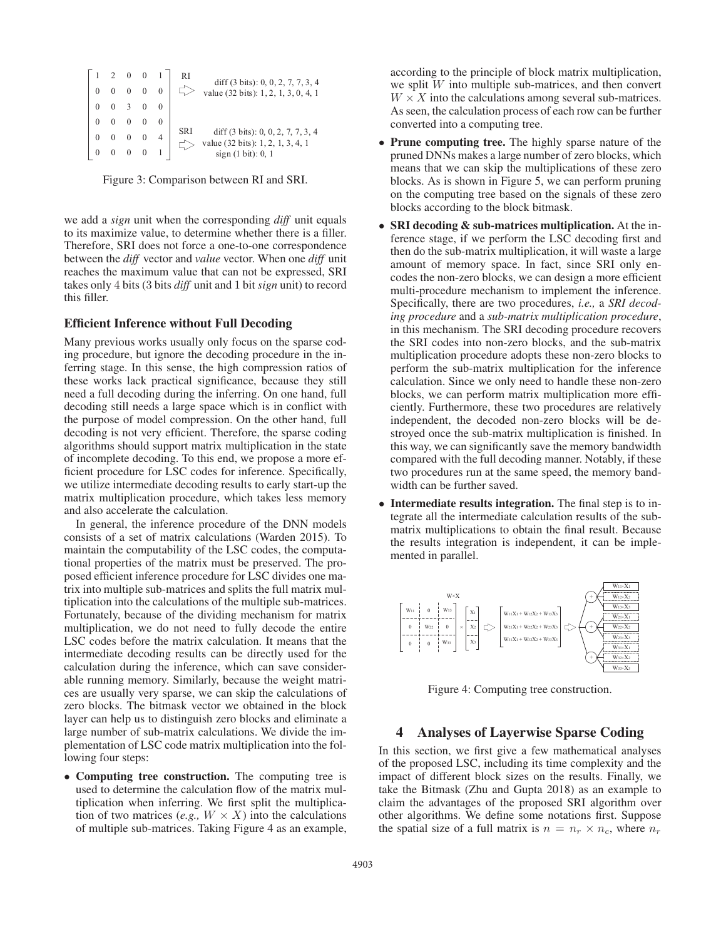|  |            | $0 \quad 0 \quad 3$                         | $2 \t0 \t0 \t1$<br>$0 \quad 0 \quad 0 \quad 0$ |            | diff $(3 \text{ bits})$ : 0, 0, 2, 7, 7, 3, 4<br>value (32 bits): 1, 2, 1, 3, 0, 4, 1 |
|--|------------|---------------------------------------------|------------------------------------------------|------------|---------------------------------------------------------------------------------------|
|  | $0\quad 0$ |                                             |                                                |            |                                                                                       |
|  |            |                                             |                                                | <b>SRI</b> | diff $(3 \text{ bits})$ : 0, 0, 2, 7, 7, 3, 4<br>value (32 bits): 1, 2, 1, 3, 4, 1    |
|  |            | $\begin{matrix} 0 & 0 & 0 & 0 \end{matrix}$ |                                                |            | sign(1 bit): 0, 1                                                                     |

Figure 3: Comparison between RI and SRI.

we add a *sign* unit when the corresponding *diff* unit equals to its maximize value, to determine whether there is a filler. Therefore, SRI does not force a one-to-one correspondence between the *diff* vector and *value* vector. When one *diff* unit reaches the maximum value that can not be expressed, SRI takes only 4 bits (3 bits *diff* unit and 1 bit *sign* unit) to record this filler.

#### Efficient Inference without Full Decoding

Many previous works usually only focus on the sparse coding procedure, but ignore the decoding procedure in the inferring stage. In this sense, the high compression ratios of these works lack practical significance, because they still need a full decoding during the inferring. On one hand, full decoding still needs a large space which is in conflict with the purpose of model compression. On the other hand, full decoding is not very efficient. Therefore, the sparse coding algorithms should support matrix multiplication in the state of incomplete decoding. To this end, we propose a more efficient procedure for LSC codes for inference. Specifically, we utilize intermediate decoding results to early start-up the matrix multiplication procedure, which takes less memory and also accelerate the calculation.

In general, the inference procedure of the DNN models consists of a set of matrix calculations (Warden 2015). To maintain the computability of the LSC codes, the computational properties of the matrix must be preserved. The proposed efficient inference procedure for LSC divides one matrix into multiple sub-matrices and splits the full matrix multiplication into the calculations of the multiple sub-matrices. Fortunately, because of the dividing mechanism for matrix multiplication, we do not need to fully decode the entire LSC codes before the matrix calculation. It means that the intermediate decoding results can be directly used for the calculation during the inference, which can save considerable running memory. Similarly, because the weight matrices are usually very sparse, we can skip the calculations of zero blocks. The bitmask vector we obtained in the block layer can help us to distinguish zero blocks and eliminate a large number of sub-matrix calculations. We divide the implementation of LSC code matrix multiplication into the following four steps:

• Computing tree construction. The computing tree is used to determine the calculation flow of the matrix multiplication when inferring. We first split the multiplication of two matrices (*e.g.,*  $W \times X$ ) into the calculations of multiple sub-matrices. Taking Figure 4 as an example, according to the principle of block matrix multiplication, we split  $W$  into multiple sub-matrices, and then convert  $W \times X$  into the calculations among several sub-matrices. As seen, the calculation process of each row can be further converted into a computing tree.

- Prune computing tree. The highly sparse nature of the pruned DNNs makes a large number of zero blocks, which means that we can skip the multiplications of these zero blocks. As is shown in Figure 5, we can perform pruning on the computing tree based on the signals of these zero blocks according to the block bitmask.
- **SRI decoding & sub-matrices multiplication.** At the inference stage, if we perform the LSC decoding first and then do the sub-matrix multiplication, it will waste a large amount of memory space. In fact, since SRI only encodes the non-zero blocks, we can design a more efficient multi-procedure mechanism to implement the inference. Specifically, there are two procedures, *i.e.,* a *SRI decoding procedure* and a *sub-matrix multiplication procedure*, in this mechanism. The SRI decoding procedure recovers the SRI codes into non-zero blocks, and the sub-matrix multiplication procedure adopts these non-zero blocks to perform the sub-matrix multiplication for the inference calculation. Since we only need to handle these non-zero blocks, we can perform matrix multiplication more efficiently. Furthermore, these two procedures are relatively independent, the decoded non-zero blocks will be destroyed once the sub-matrix multiplication is finished. In this way, we can significantly save the memory bandwidth compared with the full decoding manner. Notably, if these two procedures run at the same speed, the memory bandwidth can be further saved.
- Intermediate results integration. The final step is to integrate all the intermediate calculation results of the submatrix multiplications to obtain the final result. Because the results integration is independent, it can be implemented in parallel.



Figure 4: Computing tree construction.

### 4 Analyses of Layerwise Sparse Coding

In this section, we first give a few mathematical analyses of the proposed LSC, including its time complexity and the impact of different block sizes on the results. Finally, we take the Bitmask (Zhu and Gupta 2018) as an example to claim the advantages of the proposed SRI algorithm over other algorithms. We define some notations first. Suppose the spatial size of a full matrix is  $n = n_r \times n_c$ , where  $n_r$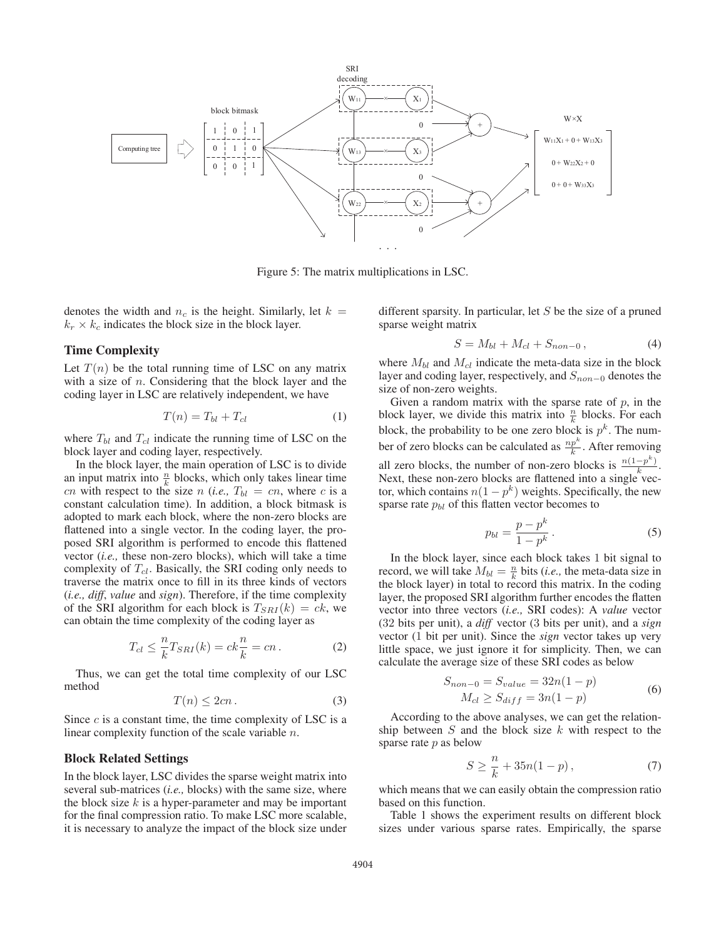

Figure 5: The matrix multiplications in LSC.

denotes the width and  $n_c$  is the height. Similarly, let  $k =$  $k_r \times k_c$  indicates the block size in the block layer.

## Time Complexity

Let  $T(n)$  be the total running time of LSC on any matrix with a size of  $n$ . Considering that the block layer and the coding layer in LSC are relatively independent, we have

$$
T(n) = T_{bl} + T_{cl} \tag{1}
$$

where  $T_{bl}$  and  $T_{cl}$  indicate the running time of LSC on the block layer and coding layer, respectively.

In the block layer, the main operation of LSC is to divide an input matrix into  $\frac{n}{k}$  blocks, which only takes linear time cn with respect to the size n (*i.e.*,  $T_{bl} = cn$ , where c is a constant calculation time). In addition, a block bitmask is adopted to mark each block, where the non-zero blocks are flattened into a single vector. In the coding layer, the proposed SRI algorithm is performed to encode this flattened vector (*i.e.,* these non-zero blocks), which will take a time complexity of  $T_{cl}$ . Basically, the SRI coding only needs to traverse the matrix once to fill in its three kinds of vectors (*i.e., diff*, *value* and *sign*). Therefore, if the time complexity of the SRI algorithm for each block is  $T_{SRI}(k) = ck$ , we can obtain the time complexity of the coding layer as

$$
T_{cl} \leq \frac{n}{k} T_{SRI}(k) = ck\frac{n}{k} = cn.
$$
 (2)

Thus, we can get the total time complexity of our LSC method

$$
T(n) \le 2cn. \tag{3}
$$

Since  $c$  is a constant time, the time complexity of LSC is a linear complexity function of the scale variable n.

#### Block Related Settings

In the block layer, LSC divides the sparse weight matrix into several sub-matrices (*i.e.,* blocks) with the same size, where the block size  $k$  is a hyper-parameter and may be important for the final compression ratio. To make LSC more scalable, it is necessary to analyze the impact of the block size under

different sparsity. In particular, let  $S$  be the size of a pruned sparse weight matrix

$$
S = M_{bl} + M_{cl} + S_{non-0}, \t\t(4)
$$

where  $M_{bl}$  and  $M_{cl}$  indicate the meta-data size in the block layer and coding layer, respectively, and  $S_{non-0}$  denotes the size of non-zero weights.

Given a random matrix with the sparse rate of  $p$ , in the block layer, we divide this matrix into  $\frac{n}{k}$  blocks. For each block, the probability to be one zero block is  $p^k$ . The number of zero blocks can be calculated as  $\frac{np^k}{k}$ . After removing all zero blocks, the number of non-zero blocks is  $\frac{n(1-p^k)}{k}$ . Next, these non-zero blocks are flattened into a single vector, which contains  $n(1 - p^k)$  weights. Specifically, the new sparse rate  $p_{bl}$  of this flatten vector becomes to

$$
p_{bl} = \frac{p - p^k}{1 - p^k}.
$$
\n<sup>(5)</sup>

In the block layer, since each block takes 1 bit signal to record, we will take  $M_{bl} = \frac{n}{k}$  bits (*i.e.*, the meta-data size in the block layer) in total to record this matrix. In the coding layer, the proposed SRI algorithm further encodes the flatten vector into three vectors (*i.e.,* SRI codes): A *value* vector (32 bits per unit), a *diff* vector (3 bits per unit), and a *sign* vector (1 bit per unit). Since the *sign* vector takes up very little space, we just ignore it for simplicity. Then, we can calculate the average size of these SRI codes as below

$$
S_{non-0} = S_{value} = 32n(1 - p)
$$
  
\n
$$
M_{cl} \ge S_{diff} = 3n(1 - p)
$$
 (6)

According to the above analyses, we can get the relationship between  $S$  and the block size  $k$  with respect to the sparse rate  $p$  as below

$$
S \ge \frac{n}{k} + 35n(1 - p),
$$
\n(7)

which means that we can easily obtain the compression ratio based on this function.

Table 1 shows the experiment results on different block sizes under various sparse rates. Empirically, the sparse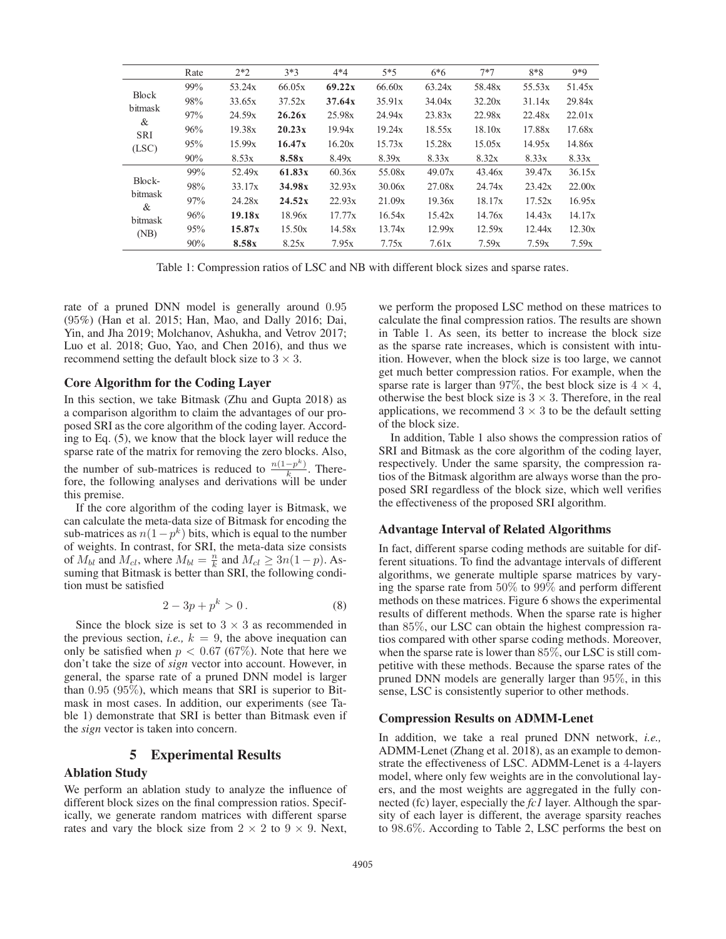|              | Rate | $2*2$  | $3*3$  | $4*4$  | $5*5$  | $6*6$  | 7*7    | $8*8$  | $9*9$  |
|--------------|------|--------|--------|--------|--------|--------|--------|--------|--------|
|              | 99%  | 53.24x | 66.05x | 69.22x | 66.60x | 63.24x | 58.48x | 55.53x | 51.45x |
| <b>Block</b> | 98%  | 33.65x | 37.52x | 37.64x | 35.91x | 34.04x | 32.20x | 31.14x | 29.84x |
| bitmask<br>& | 97%  | 24.59x | 26.26x | 25.98x | 24.94x | 23.83x | 22.98x | 22.48x | 22.01x |
| <b>SRI</b>   | 96%  | 19.38x | 20.23x | 19.94x | 19.24x | 18.55x | 18.10x | 17.88x | 17.68x |
| (LSC)        | 95%  | 15.99x | 16.47x | 16.20x | 15.73x | 15.28x | 15.05x | 14.95x | 14.86x |
|              | 90%  | 8.53x  | 8.58x  | 8.49x  | 8.39x  | 8.33x  | 8.32x  | 8.33x  | 8.33x  |
|              | 99%  | 52.49x | 61.83x | 60.36x | 55.08x | 49.07x | 43.46x | 39.47x | 36.15x |
| Block-       | 98%  | 33.17x | 34.98x | 32.93x | 30.06x | 27.08x | 24.74x | 23.42x | 22.00x |
| bitmask<br>& | 97%  | 24.28x | 24.52x | 22.93x | 21.09x | 19.36x | 18.17x | 17.52x | 16.95x |
| bitmask      | 96%  | 19.18x | 18.96x | 17.77x | 16.54x | 15.42x | 14.76x | 14.43x | 14.17x |
| (NB)         | 95%  | 15.87x | 15.50x | 14.58x | 13.74x | 12.99x | 12.59x | 12.44x | 12.30x |
|              | 90%  | 8.58x  | 8.25x  | 7.95x  | 7.75x  | 7.61x  | 7.59x  | 7.59x  | 7.59x  |

Table 1: Compression ratios of LSC and NB with different block sizes and sparse rates.

rate of a pruned DNN model is generally around 0.95 (95%) (Han et al. 2015; Han, Mao, and Dally 2016; Dai, Yin, and Jha 2019; Molchanov, Ashukha, and Vetrov 2017; Luo et al. 2018; Guo, Yao, and Chen 2016), and thus we recommend setting the default block size to  $3 \times 3$ .

#### Core Algorithm for the Coding Layer

In this section, we take Bitmask (Zhu and Gupta 2018) as a comparison algorithm to claim the advantages of our proposed SRI as the core algorithm of the coding layer. According to Eq. (5), we know that the block layer will reduce the sparse rate of the matrix for removing the zero blocks. Also, the number of sub-matrices is reduced to  $\frac{n(1-p^k)}{k}$ . Therefore, the following analyses and derivations will be under this premise.

If the core algorithm of the coding layer is Bitmask, we can calculate the meta-data size of Bitmask for encoding the sub-matrices as  $n(1-p^k)$  bits, which is equal to the number of weights. In contrast, for SRI, the meta-data size consists of  $M_{bl}$  and  $M_{cl}$ , where  $M_{bl} = \frac{n}{k}$  and  $M_{cl} \geq 3n(1-p)$ . Assuming that Bitmask is better than SRI, the following condition must be satisfied

$$
2 - 3p + p^k > 0.
$$
 (8)

Since the block size is set to  $3 \times 3$  as recommended in the previous section, *i.e.*,  $k = 9$ , the above inequation can only be satisfied when  $p < 0.67$  (67%). Note that here we don't take the size of *sign* vector into account. However, in general, the sparse rate of a pruned DNN model is larger than 0.95 (95%), which means that SRI is superior to Bitmask in most cases. In addition, our experiments (see Table 1) demonstrate that SRI is better than Bitmask even if the *sign* vector is taken into concern.

### 5 Experimental Results

#### Ablation Study

We perform an ablation study to analyze the influence of different block sizes on the final compression ratios. Specifically, we generate random matrices with different sparse rates and vary the block size from  $2 \times 2$  to  $9 \times 9$ . Next,

we perform the proposed LSC method on these matrices to calculate the final compression ratios. The results are shown in Table 1. As seen, its better to increase the block size as the sparse rate increases, which is consistent with intuition. However, when the block size is too large, we cannot get much better compression ratios. For example, when the sparse rate is larger than 97%, the best block size is  $4 \times 4$ , otherwise the best block size is  $3 \times 3$ . Therefore, in the real applications, we recommend  $3 \times 3$  to be the default setting of the block size.

In addition, Table 1 also shows the compression ratios of SRI and Bitmask as the core algorithm of the coding layer, respectively. Under the same sparsity, the compression ratios of the Bitmask algorithm are always worse than the proposed SRI regardless of the block size, which well verifies the effectiveness of the proposed SRI algorithm.

#### Advantage Interval of Related Algorithms

In fact, different sparse coding methods are suitable for different situations. To find the advantage intervals of different algorithms, we generate multiple sparse matrices by varying the sparse rate from 50% to 99% and perform different methods on these matrices. Figure 6 shows the experimental results of different methods. When the sparse rate is higher than 85%, our LSC can obtain the highest compression ratios compared with other sparse coding methods. Moreover, when the sparse rate is lower than 85%, our LSC is still competitive with these methods. Because the sparse rates of the pruned DNN models are generally larger than 95%, in this sense, LSC is consistently superior to other methods.

#### Compression Results on ADMM-Lenet

In addition, we take a real pruned DNN network, *i.e.,* ADMM-Lenet (Zhang et al. 2018), as an example to demonstrate the effectiveness of LSC. ADMM-Lenet is a 4-layers model, where only few weights are in the convolutional layers, and the most weights are aggregated in the fully connected (fc) layer, especially the *fc1* layer. Although the sparsity of each layer is different, the average sparsity reaches to 98.6%. According to Table 2, LSC performs the best on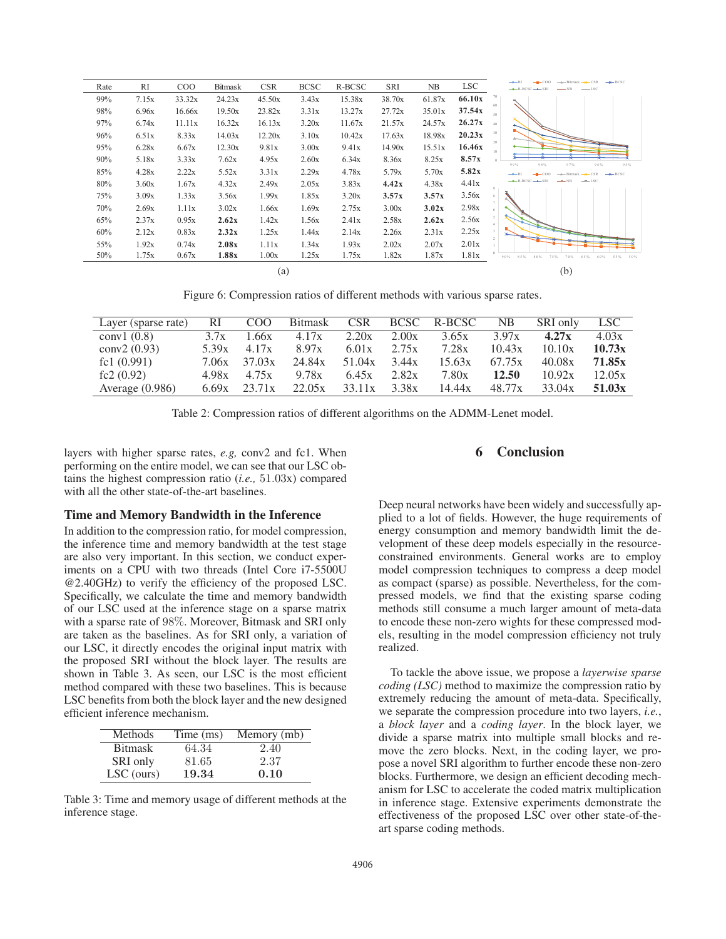| Rate | RI    | C <sub>O</sub> O | <b>Bitmask</b> | <b>CSR</b> | <b>BCSC</b> | R-BCSC | SRI    | NB     | <b>LSC</b> | $-x$ BCSC<br>$\rightarrow$ CSR<br>-- Bitmask<br>$-$ LSC |
|------|-------|------------------|----------------|------------|-------------|--------|--------|--------|------------|---------------------------------------------------------|
| 99%  | 7.15x | 33.32x           | 24.23x         | 45.50x     | 3.43x       | 15.38x | 38.70x | 61.87x | 66.10x     |                                                         |
| 98%  | 6.96x | 16.66x           | 19.50x         | 23.82x     | 3.31x       | 13.27x | 27.72x | 35.01x | 37.54x     | 50                                                      |
| 97%  | 6.74x | 11.11x           | 16.32x         | 16.13x     | 3.20x       | 11.67x | 21.57x | 24.57x | 26.27x     | 40                                                      |
| 96%  | 6.51x | 8.33x            | 14.03x         | 12.20x     | 3.10x       | 10.42x | 17.63x | 18.98x | 20.23x     | 30                                                      |
| 95%  | 6.28x | 6.67x            | 12.30x         | 9.81x      | 3.00x       | 9.41x  | 14.90x | 15.51x | 16.46x     | 20<br>10                                                |
| 90%  | 5.18x | 3.33x            | 7.62x          | 4.95x      | 2.60x       | 6.34x  | 8.36x  | 8.25x  | 8.57x      | 98%<br>97%<br>95%<br>99%<br>96%                         |
| 85%  | 4.28x | 2.22x            | 5.52x          | 3.31x      | 2.29x       | 4.78x  | 5.79x  | 5.70x  | 5.82x      | $-$ <b>K</b> $-$ <b>BCSC</b><br>$\leftarrow$ CSR        |
| 80%  | 3.60x | 1.67x            | 4.32x          | 2.49x      | 2.05x       | 3.83x  | 4.42x  | 4.38x  | 4.41x      | $-$ LSC                                                 |
| 75%  | 3.09x | 1.33x            | 3.56x          | 1.99x      | 1.85x       | 3.20x  | 3.57x  | 3.57x  | 3.56x      |                                                         |
| 70%  | 2.69x | 1.11x            | 3.02x          | 1.66x      | 1.69x       | 2.75x  | 3.00x  | 3.02x  | 2.98x      |                                                         |
| 65%  | 2.37x | 0.95x            | 2.62x          | 1.42x      | 1.56x       | 2.41x  | 2.58x  | 2.62x  | 2.56x      |                                                         |
| 60%  | 2.12x | 0.83x            | 2.32x          | 1.25x      | 1.44x       | 2.14x  | 2.26x  | 2.31x  | 2.25x      |                                                         |
| 55%  | 1.92x | 0.74x            | 2.08x          | 1.11x      | 1.34x       | 1.93x  | 2.02x  | 2.07x  | 2.01x      |                                                         |
| 50%  | 1.75x | 0.67x            | 1.88x          | 1.00x      | 1.25x       | 1.75x  | 1.82x  | 1.87x  | 1.81x      | 90%<br>55% 50%<br>85%<br>80%<br>75%<br>70%<br>65%       |
|      |       |                  |                | (a)        |             |        |        |        |            | (b)                                                     |

Figure 6: Compression ratios of different methods with various sparse rates.

| Layer (sparse rate) | RI    | COO    | <b>Bitmask</b> | CSR    | <b>BCSC</b> | R-BCSC | NB     | SRI only | LSC    |
|---------------------|-------|--------|----------------|--------|-------------|--------|--------|----------|--------|
| conv $1(0.8)$       | 3.7x  | .66x   | 4.17x          | 2.20x  | 2.00x       | 3.65x  | 3.97x  | 4.27x    | 4.03x  |
| conv2 $(0.93)$      | 5.39x | 4.17x  | 8.97x          | 6.01x  | 2.75x       | 7.28x  | 10.43x | 10.10x   | 10.73x |
| fc1 $(0.991)$       | 7.06x | 37.03x | 24.84x         | 51.04x | 3.44x       | 15.63x | 67.75x | 40.08x   | 71.85x |
| fc2 $(0.92)$        | 4.98x | 4.75x  | 9.78x          | 6.45x  | 2.82x       | 7.80x  | 12.50  | 10.92x   | 12.05x |
| Average $(0.986)$   | 6.69x | 23.71x | 22.05x         | 33.11x | 3.38x       | 14.44x | 48.77x | 33.04x   | 51.03x |

Table 2: Compression ratios of different algorithms on the ADMM-Lenet model.

layers with higher sparse rates, *e.g,* conv2 and fc1. When performing on the entire model, we can see that our LSC obtains the highest compression ratio (*i.e.,* 51.03x) compared with all the other state-of-the-art baselines.

## Time and Memory Bandwidth in the Inference

In addition to the compression ratio, for model compression, the inference time and memory bandwidth at the test stage are also very important. In this section, we conduct experiments on a CPU with two threads (Intel Core i7-5500U @2.40GHz) to verify the efficiency of the proposed LSC. Specifically, we calculate the time and memory bandwidth of our LSC used at the inference stage on a sparse matrix with a sparse rate of 98%. Moreover, Bitmask and SRI only are taken as the baselines. As for SRI only, a variation of our LSC, it directly encodes the original input matrix with the proposed SRI without the block layer. The results are shown in Table 3. As seen, our LSC is the most efficient method compared with these two baselines. This is because LSC benefits from both the block layer and the new designed efficient inference mechanism.

| Methods        | Time (ms) | Memory (mb) |
|----------------|-----------|-------------|
| <b>Bitmask</b> | 64.34     | 2.40        |
| SRI only       | 81.65     | 2.37        |
| LSC (ours)     | 19.34     | 0.10        |

Table 3: Time and memory usage of different methods at the inference stage.

## 6 Conclusion

Deep neural networks have been widely and successfully applied to a lot of fields. However, the huge requirements of energy consumption and memory bandwidth limit the development of these deep models especially in the resourceconstrained environments. General works are to employ model compression techniques to compress a deep model as compact (sparse) as possible. Nevertheless, for the compressed models, we find that the existing sparse coding methods still consume a much larger amount of meta-data to encode these non-zero wights for these compressed models, resulting in the model compression efficiency not truly realized.

To tackle the above issue, we propose a *layerwise sparse coding (LSC)* method to maximize the compression ratio by extremely reducing the amount of meta-data. Specifically, we separate the compression procedure into two layers, *i.e.*, a *block layer* and a *coding layer*. In the block layer, we divide a sparse matrix into multiple small blocks and remove the zero blocks. Next, in the coding layer, we propose a novel SRI algorithm to further encode these non-zero blocks. Furthermore, we design an efficient decoding mechanism for LSC to accelerate the coded matrix multiplication in inference stage. Extensive experiments demonstrate the effectiveness of the proposed LSC over other state-of-theart sparse coding methods.